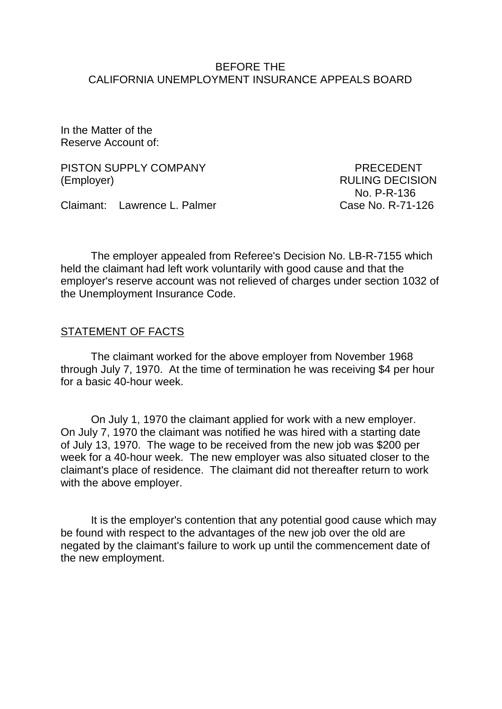#### BEFORE THE CALIFORNIA UNEMPLOYMENT INSURANCE APPEALS BOARD

In the Matter of the Reserve Account of:

PISTON SUPPLY COMPANY PISTON SUPPLY COMPANY (Employer) RULING DECISION

No. P-R-136

Claimant: Lawrence L. Palmer Case No. R-71-126

The employer appealed from Referee's Decision No. LB-R-7155 which held the claimant had left work voluntarily with good cause and that the employer's reserve account was not relieved of charges under section 1032 of the Unemployment Insurance Code.

#### STATEMENT OF FACTS

The claimant worked for the above employer from November 1968 through July 7, 1970. At the time of termination he was receiving \$4 per hour for a basic 40-hour week.

On July 1, 1970 the claimant applied for work with a new employer. On July 7, 1970 the claimant was notified he was hired with a starting date of July 13, 1970. The wage to be received from the new job was \$200 per week for a 40-hour week. The new employer was also situated closer to the claimant's place of residence. The claimant did not thereafter return to work with the above employer.

It is the employer's contention that any potential good cause which may be found with respect to the advantages of the new job over the old are negated by the claimant's failure to work up until the commencement date of the new employment.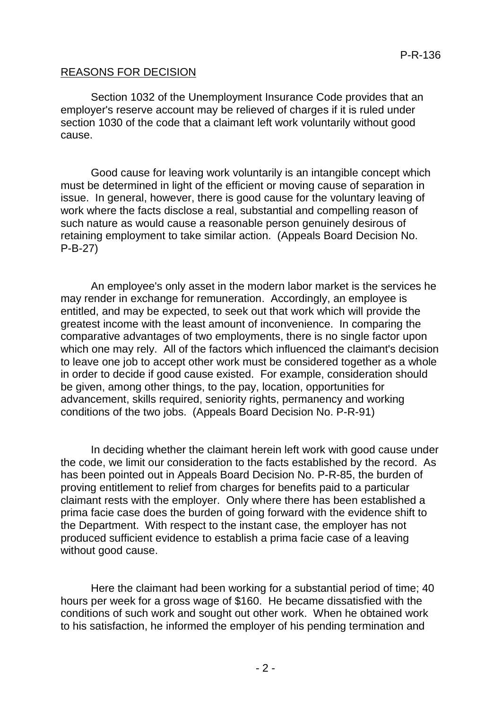## REASONS FOR DECISION

Section 1032 of the Unemployment Insurance Code provides that an employer's reserve account may be relieved of charges if it is ruled under section 1030 of the code that a claimant left work voluntarily without good cause.

Good cause for leaving work voluntarily is an intangible concept which must be determined in light of the efficient or moving cause of separation in issue. In general, however, there is good cause for the voluntary leaving of work where the facts disclose a real, substantial and compelling reason of such nature as would cause a reasonable person genuinely desirous of retaining employment to take similar action. (Appeals Board Decision No. P-B-27)

An employee's only asset in the modern labor market is the services he may render in exchange for remuneration. Accordingly, an employee is entitled, and may be expected, to seek out that work which will provide the greatest income with the least amount of inconvenience. In comparing the comparative advantages of two employments, there is no single factor upon which one may rely. All of the factors which influenced the claimant's decision to leave one job to accept other work must be considered together as a whole in order to decide if good cause existed. For example, consideration should be given, among other things, to the pay, location, opportunities for advancement, skills required, seniority rights, permanency and working conditions of the two jobs. (Appeals Board Decision No. P-R-91)

In deciding whether the claimant herein left work with good cause under the code, we limit our consideration to the facts established by the record. As has been pointed out in Appeals Board Decision No. P-R-85, the burden of proving entitlement to relief from charges for benefits paid to a particular claimant rests with the employer. Only where there has been established a prima facie case does the burden of going forward with the evidence shift to the Department. With respect to the instant case, the employer has not produced sufficient evidence to establish a prima facie case of a leaving without good cause.

Here the claimant had been working for a substantial period of time; 40 hours per week for a gross wage of \$160. He became dissatisfied with the conditions of such work and sought out other work. When he obtained work to his satisfaction, he informed the employer of his pending termination and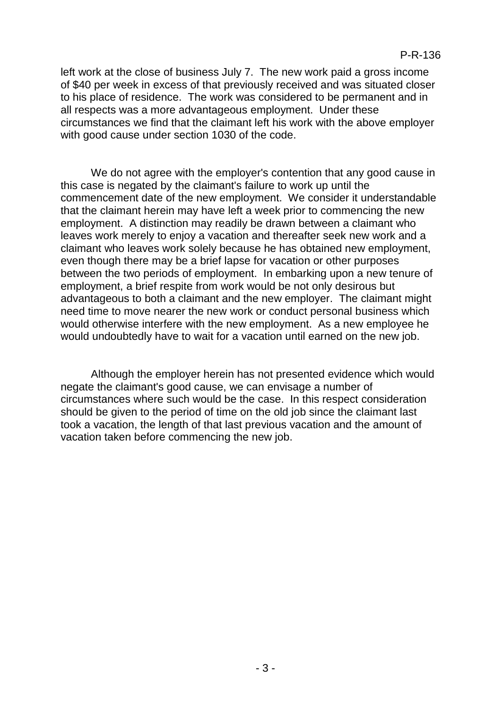left work at the close of business July 7. The new work paid a gross income of \$40 per week in excess of that previously received and was situated closer to his place of residence. The work was considered to be permanent and in all respects was a more advantageous employment. Under these circumstances we find that the claimant left his work with the above employer with good cause under section 1030 of the code.

We do not agree with the employer's contention that any good cause in this case is negated by the claimant's failure to work up until the commencement date of the new employment. We consider it understandable that the claimant herein may have left a week prior to commencing the new employment. A distinction may readily be drawn between a claimant who leaves work merely to enjoy a vacation and thereafter seek new work and a claimant who leaves work solely because he has obtained new employment, even though there may be a brief lapse for vacation or other purposes between the two periods of employment. In embarking upon a new tenure of employment, a brief respite from work would be not only desirous but advantageous to both a claimant and the new employer. The claimant might need time to move nearer the new work or conduct personal business which would otherwise interfere with the new employment. As a new employee he would undoubtedly have to wait for a vacation until earned on the new job.

Although the employer herein has not presented evidence which would negate the claimant's good cause, we can envisage a number of circumstances where such would be the case. In this respect consideration should be given to the period of time on the old job since the claimant last took a vacation, the length of that last previous vacation and the amount of vacation taken before commencing the new job.